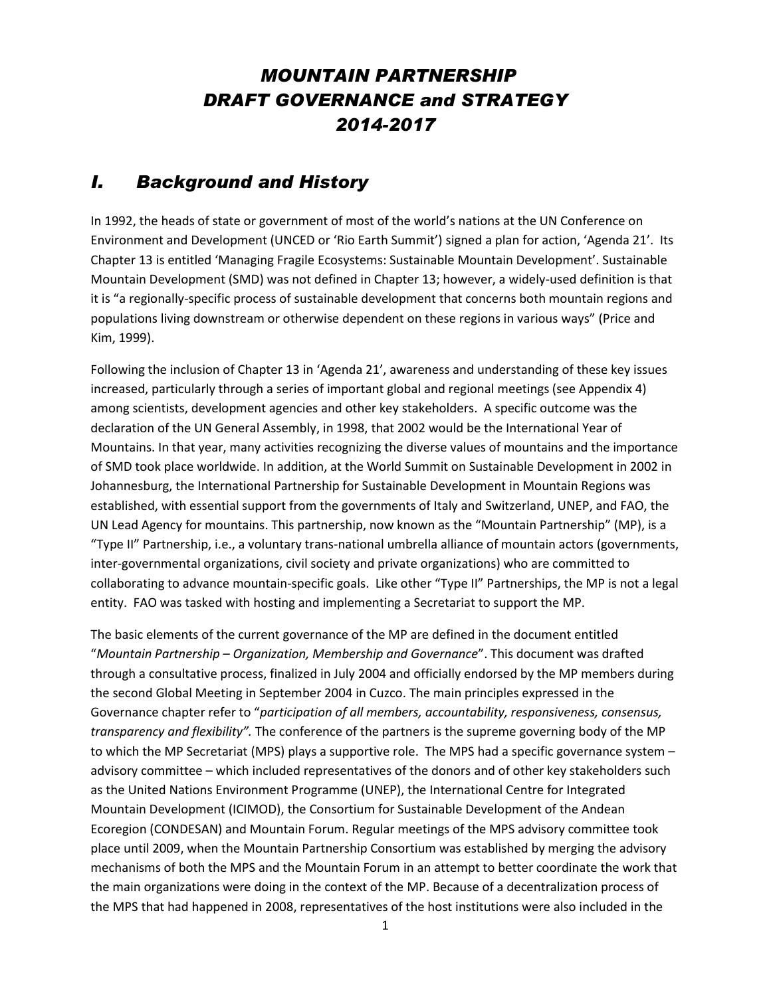# *MOUNTAIN PARTNERSHIP DRAFT GOVERNANCE and STRATEGY 2014-2017*

## *I. Background and History*

In 1992, the heads of state or government of most of the world's nations at the UN Conference on Environment and Development (UNCED or 'Rio Earth Summit') signed a plan for action, 'Agenda 21'. Its Chapter 13 is entitled 'Managing Fragile Ecosystems: Sustainable Mountain Development'. Sustainable Mountain Development (SMD) was not defined in Chapter 13; however, a widely-used definition is that it is "a regionally-specific process of sustainable development that concerns both mountain regions and populations living downstream or otherwise dependent on these regions in various ways" (Price and Kim, 1999).

Following the inclusion of Chapter 13 in 'Agenda 21', awareness and understanding of these key issues increased, particularly through a series of important global and regional meetings (see Appendix 4) among scientists, development agencies and other key stakeholders. A specific outcome was the declaration of the UN General Assembly, in 1998, that 2002 would be the International Year of Mountains. In that year, many activities recognizing the diverse values of mountains and the importance of SMD took place worldwide. In addition, at the World Summit on Sustainable Development in 2002 in Johannesburg, the International Partnership for Sustainable Development in Mountain Regions was established, with essential support from the governments of Italy and Switzerland, UNEP, and FAO, the UN Lead Agency for mountains. This partnership, now known as the "Mountain Partnership" (MP), is a "Type II" Partnership, i.e., a voluntary trans-national umbrella alliance of mountain actors (governments, inter-governmental organizations, civil society and private organizations) who are committed to collaborating to advance mountain-specific goals. Like other "Type II" Partnerships, the MP is not a legal entity. FAO was tasked with hosting and implementing a Secretariat to support the MP.

The basic elements of the current governance of the MP are defined in the document entitled "*Mountain Partnership – Organization, Membership and Governance*". This document was drafted through a consultative process, finalized in July 2004 and officially endorsed by the MP members during the second Global Meeting in September 2004 in Cuzco. The main principles expressed in the Governance chapter refer to "*participation of all members, accountability, responsiveness, consensus, transparency and flexibility".* The conference of the partners is the supreme governing body of the MP to which the MP Secretariat (MPS) plays a supportive role. The MPS had a specific governance system – advisory committee – which included representatives of the donors and of other key stakeholders such as the United Nations Environment Programme (UNEP), the International Centre for Integrated Mountain Development (ICIMOD), the Consortium for Sustainable Development of the Andean Ecoregion (CONDESAN) and Mountain Forum. Regular meetings of the MPS advisory committee took place until 2009, when the Mountain Partnership Consortium was established by merging the advisory mechanisms of both the MPS and the Mountain Forum in an attempt to better coordinate the work that the main organizations were doing in the context of the MP. Because of a decentralization process of the MPS that had happened in 2008, representatives of the host institutions were also included in the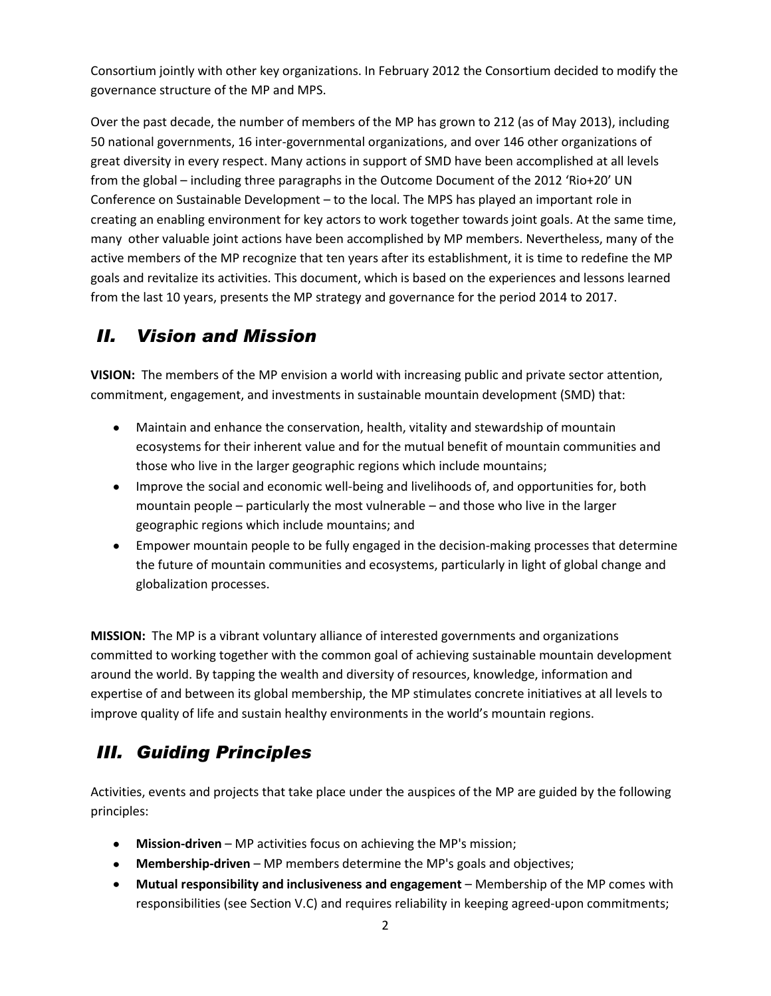Consortium jointly with other key organizations. In February 2012 the Consortium decided to modify the governance structure of the MP and MPS.

Over the past decade, the number of members of the MP has grown to 212 (as of May 2013), including 50 national governments, 16 inter-governmental organizations, and over 146 other organizations of great diversity in every respect. Many actions in support of SMD have been accomplished at all levels from the global – including three paragraphs in the Outcome Document of the 2012 'Rio+20' UN Conference on Sustainable Development – to the local. The MPS has played an important role in creating an enabling environment for key actors to work together towards joint goals. At the same time, many other valuable joint actions have been accomplished by MP members. Nevertheless, many of the active members of the MP recognize that ten years after its establishment, it is time to redefine the MP goals and revitalize its activities. This document, which is based on the experiences and lessons learned from the last 10 years, presents the MP strategy and governance for the period 2014 to 2017.

# *II. Vision and Mission*

**VISION:** The members of the MP envision a world with increasing public and private sector attention, commitment, engagement, and investments in sustainable mountain development (SMD) that:

- Maintain and enhance the conservation, health, vitality and stewardship of mountain ecosystems for their inherent value and for the mutual benefit of mountain communities and those who live in the larger geographic regions which include mountains;
- Improve the social and economic well-being and livelihoods of, and opportunities for, both mountain people – particularly the most vulnerable – and those who live in the larger geographic regions which include mountains; and
- Empower mountain people to be fully engaged in the decision-making processes that determine the future of mountain communities and ecosystems, particularly in light of global change and globalization processes.

**MISSION:** The MP is a vibrant voluntary alliance of interested governments and organizations committed to working together with the common goal of achieving sustainable mountain development around the world. By tapping the wealth and diversity of resources, knowledge, information and expertise of and between its global membership, the MP stimulates concrete initiatives at all levels to improve quality of life and sustain healthy environments in the world's mountain regions.

# *III. Guiding Principles*

Activities, events and projects that take place under the auspices of the MP are guided by the following principles:

- **Mission-driven** MP activities focus on achieving the MP's mission;
- **Membership-driven** MP members determine the MP's goals and objectives;
- **Mutual responsibility and inclusiveness and engagement** Membership of the MP comes with responsibilities (see Section V.C) and requires reliability in keeping agreed-upon commitments;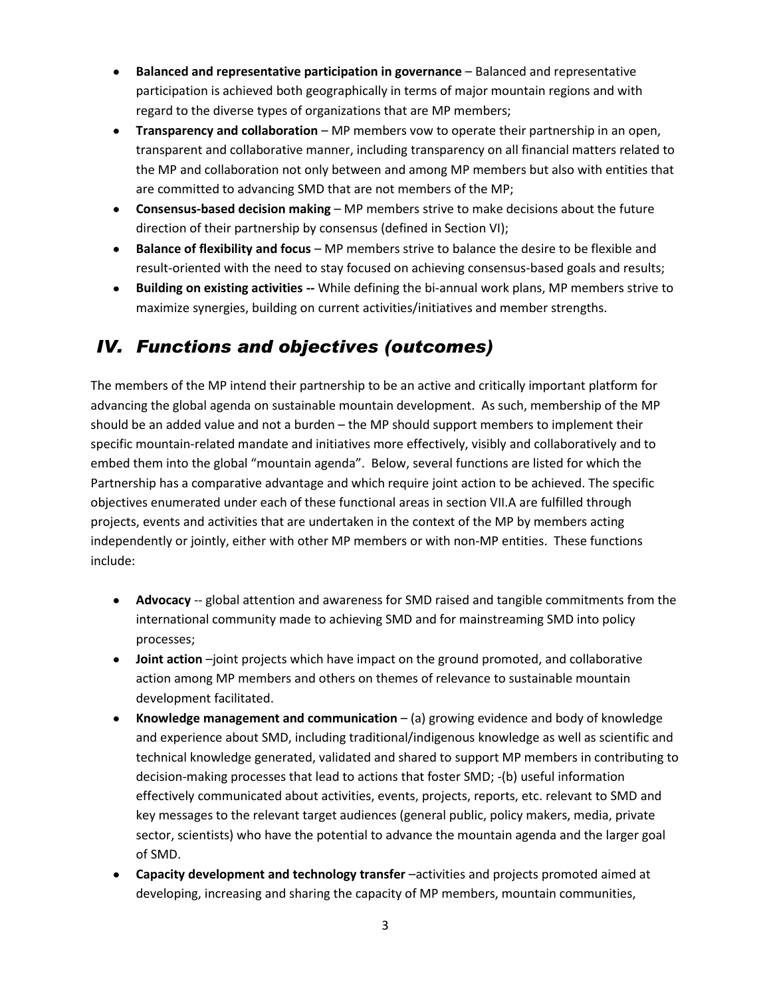- **Balanced and representative participation in governance** Balanced and representative participation is achieved both geographically in terms of major mountain regions and with regard to the diverse types of organizations that are MP members;
- **Transparency and collaboration** MP members vow to operate their partnership in an open, transparent and collaborative manner, including transparency on all financial matters related to the MP and collaboration not only between and among MP members but also with entities that are committed to advancing SMD that are not members of the MP;
- **Consensus-based decision making** MP members strive to make decisions about the future direction of their partnership by consensus (defined in Section VI);
- **Balance of flexibility and focus** MP members strive to balance the desire to be flexible and result-oriented with the need to stay focused on achieving consensus-based goals and results;
- $\bullet$ **Building on existing activities** -- While defining the bi-annual work plans, MP members strive to maximize synergies, building on current activities/initiatives and member strengths.

# *IV. Functions and objectives (outcomes)*

The members of the MP intend their partnership to be an active and critically important platform for advancing the global agenda on sustainable mountain development. As such, membership of the MP should be an added value and not a burden – the MP should support members to implement their specific mountain-related mandate and initiatives more effectively, visibly and collaboratively and to embed them into the global "mountain agenda". Below, several functions are listed for which the Partnership has a comparative advantage and which require joint action to be achieved. The specific objectives enumerated under each of these functional areas in section VII.A are fulfilled through projects, events and activities that are undertaken in the context of the MP by members acting independently or jointly, either with other MP members or with non-MP entities. These functions include:

- **Advocacy** -- global attention and awareness for SMD raised and tangible commitments from the international community made to achieving SMD and for mainstreaming SMD into policy processes;
- **Joint action** –joint projects which have impact on the ground promoted, and collaborative action among MP members and others on themes of relevance to sustainable mountain development facilitated.
- **Knowledge management and communication** (a) growing evidence and body of knowledge and experience about SMD, including traditional/indigenous knowledge as well as scientific and technical knowledge generated, validated and shared to support MP members in contributing to decision-making processes that lead to actions that foster SMD; -(b) useful information effectively communicated about activities, events, projects, reports, etc. relevant to SMD and key messages to the relevant target audiences (general public, policy makers, media, private sector, scientists) who have the potential to advance the mountain agenda and the larger goal of SMD.
- **Capacity development and technology transfer** –activities and projects promoted aimed at developing, increasing and sharing the capacity of MP members, mountain communities,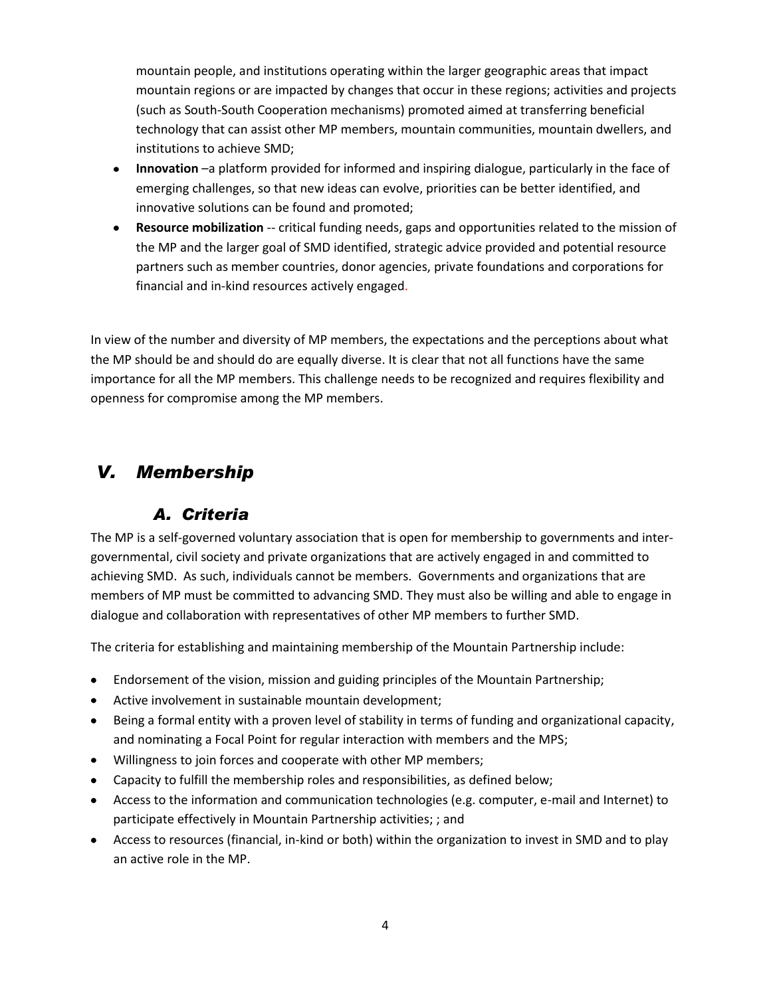mountain people, and institutions operating within the larger geographic areas that impact mountain regions or are impacted by changes that occur in these regions; activities and projects (such as South-South Cooperation mechanisms) promoted aimed at transferring beneficial technology that can assist other MP members, mountain communities, mountain dwellers, and institutions to achieve SMD;

- **Innovation** –a platform provided for informed and inspiring dialogue, particularly in the face of emerging challenges, so that new ideas can evolve, priorities can be better identified, and innovative solutions can be found and promoted;
- **Resource mobilization** -- critical funding needs, gaps and opportunities related to the mission of the MP and the larger goal of SMD identified, strategic advice provided and potential resource partners such as member countries, donor agencies, private foundations and corporations for financial and in-kind resources actively engaged.

In view of the number and diversity of MP members, the expectations and the perceptions about what the MP should be and should do are equally diverse. It is clear that not all functions have the same importance for all the MP members. This challenge needs to be recognized and requires flexibility and openness for compromise among the MP members.

# *V. Membership*

## *A. Criteria*

The MP is a self-governed voluntary association that is open for membership to governments and intergovernmental, civil society and private organizations that are actively engaged in and committed to achieving SMD. As such, individuals cannot be members. Governments and organizations that are members of MP must be committed to advancing SMD. They must also be willing and able to engage in dialogue and collaboration with representatives of other MP members to further SMD.

The criteria for establishing and maintaining membership of the Mountain Partnership include:

- Endorsement of the vision, mission and guiding principles of the Mountain Partnership;
- Active involvement in sustainable mountain development;
- Being a formal entity with a proven level of stability in terms of funding and organizational capacity, and nominating a Focal Point for regular interaction with members and the MPS;
- Willingness to join forces and cooperate with other MP members;
- Capacity to fulfill the membership roles and responsibilities, as defined below;
- Access to the information and communication technologies (e.g. computer, e-mail and Internet) to participate effectively in Mountain Partnership activities; ; and
- Access to resources (financial, in-kind or both) within the organization to invest in SMD and to play an active role in the MP.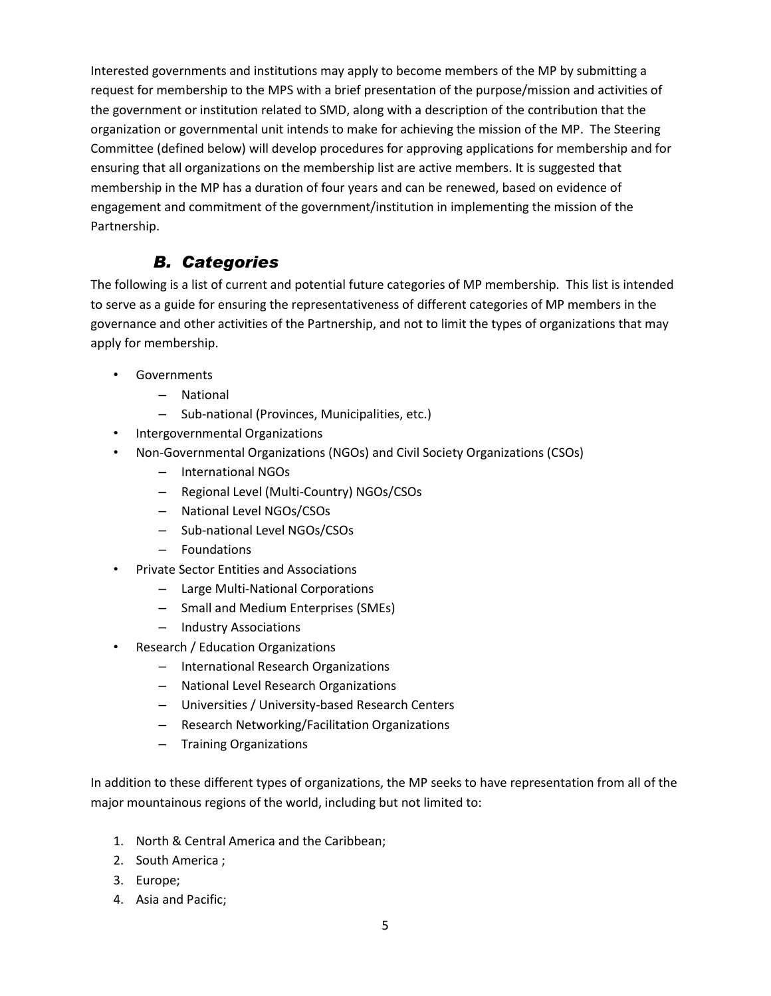Interested governments and institutions may apply to become members of the MP by submitting a request for membership to the MPS with a brief presentation of the purpose/mission and activities of the government or institution related to SMD, along with a description of the contribution that the organization or governmental unit intends to make for achieving the mission of the MP. The Steering Committee (defined below) will develop procedures for approving applications for membership and for ensuring that all organizations on the membership list are active members. It is suggested that membership in the MP has a duration of four years and can be renewed, based on evidence of engagement and commitment of the government/institution in implementing the mission of the Partnership.

## *B. Categories*

The following is a list of current and potential future categories of MP membership. This list is intended to serve as a guide for ensuring the representativeness of different categories of MP members in the governance and other activities of the Partnership, and not to limit the types of organizations that may apply for membership.

- Governments
	- National
	- Sub-national (Provinces, Municipalities, etc.)
- Intergovernmental Organizations
- Non-Governmental Organizations (NGOs) and Civil Society Organizations (CSOs)
	- International NGOs
	- Regional Level (Multi-Country) NGOs/CSOs
	- National Level NGOs/CSOs
	- Sub-national Level NGOs/CSOs
	- Foundations
- Private Sector Entities and Associations
	- Large Multi-National Corporations
	- Small and Medium Enterprises (SMEs)
	- Industry Associations
- Research / Education Organizations
	- International Research Organizations
	- National Level Research Organizations
	- Universities / University-based Research Centers
	- Research Networking/Facilitation Organizations
	- Training Organizations

In addition to these different types of organizations, the MP seeks to have representation from all of the major mountainous regions of the world, including but not limited to:

- 1. North & Central America and the Caribbean;
- 2. South America ;
- 3. Europe;
- 4. Asia and Pacific;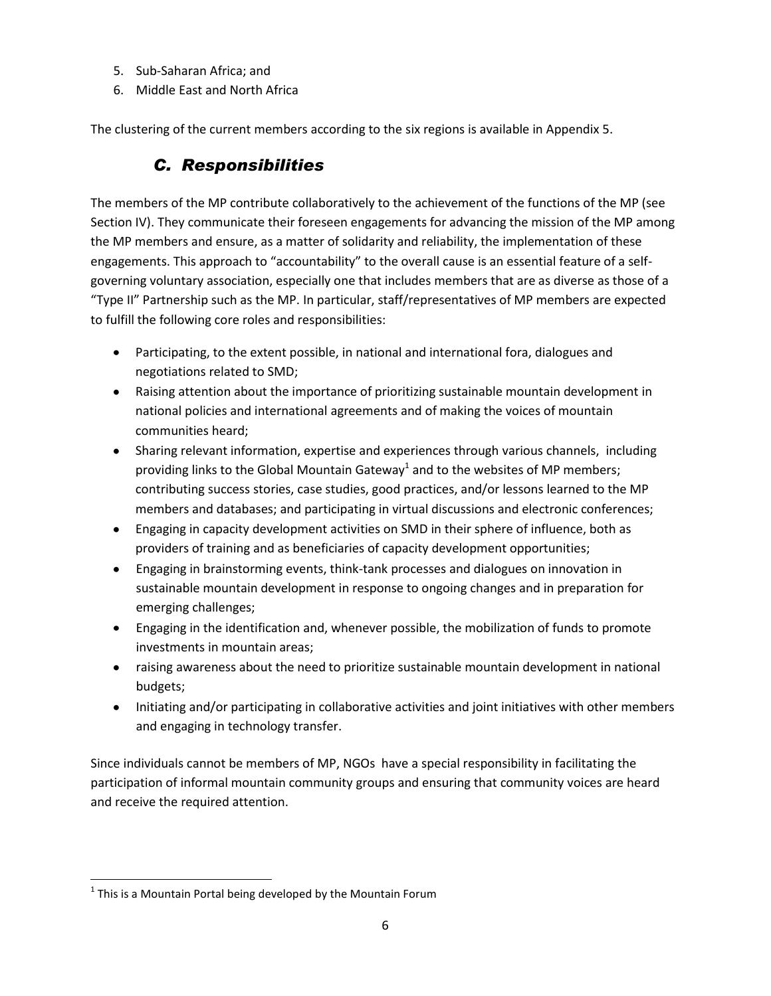- 5. Sub-Saharan Africa; and
- 6. Middle East and North Africa

The clustering of the current members according to the six regions is available in Appendix 5.

# *C. Responsibilities*

The members of the MP contribute collaboratively to the achievement of the functions of the MP (see Section IV). They communicate their foreseen engagements for advancing the mission of the MP among the MP members and ensure, as a matter of solidarity and reliability, the implementation of these engagements. This approach to "accountability" to the overall cause is an essential feature of a selfgoverning voluntary association, especially one that includes members that are as diverse as those of a "Type II" Partnership such as the MP. In particular, staff/representatives of MP members are expected to fulfill the following core roles and responsibilities:

- Participating, to the extent possible, in national and international fora, dialogues and negotiations related to SMD;
- Raising attention about the importance of prioritizing sustainable mountain development in national policies and international agreements and of making the voices of mountain communities heard;
- Sharing relevant information, expertise and experiences through various channels, including providing links to the Global Mountain Gateway<sup>1</sup> and to the websites of MP members; contributing success stories, case studies, good practices, and/or lessons learned to the MP members and databases; and participating in virtual discussions and electronic conferences;
- Engaging in capacity development activities on SMD in their sphere of influence, both as providers of training and as beneficiaries of capacity development opportunities;
- Engaging in brainstorming events, think-tank processes and dialogues on innovation in sustainable mountain development in response to ongoing changes and in preparation for emerging challenges;
- Engaging in the identification and, whenever possible, the mobilization of funds to promote investments in mountain areas;
- raising awareness about the need to prioritize sustainable mountain development in national budgets;
- Initiating and/or participating in collaborative activities and joint initiatives with other members and engaging in technology transfer.

Since individuals cannot be members of MP, NGOs have a special responsibility in facilitating the participation of informal mountain community groups and ensuring that community voices are heard and receive the required attention.

 $\overline{\phantom{a}}$ 

 $<sup>1</sup>$  This is a Mountain Portal being developed by the Mountain Forum</sup>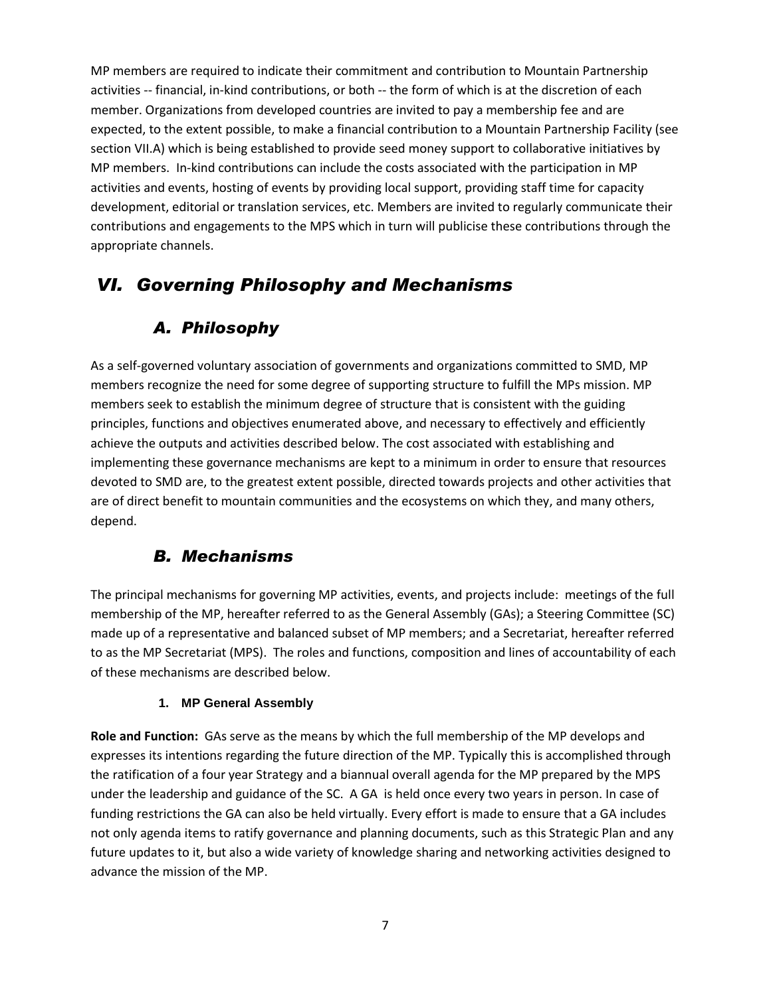MP members are required to indicate their commitment and contribution to Mountain Partnership activities -- financial, in-kind contributions, or both -- the form of which is at the discretion of each member. Organizations from developed countries are invited to pay a membership fee and are expected, to the extent possible, to make a financial contribution to a Mountain Partnership Facility (see section VII.A) which is being established to provide seed money support to collaborative initiatives by MP members. In-kind contributions can include the costs associated with the participation in MP activities and events, hosting of events by providing local support, providing staff time for capacity development, editorial or translation services, etc. Members are invited to regularly communicate their contributions and engagements to the MPS which in turn will publicise these contributions through the appropriate channels.

# *VI. Governing Philosophy and Mechanisms*

## *A. Philosophy*

As a self-governed voluntary association of governments and organizations committed to SMD, MP members recognize the need for some degree of supporting structure to fulfill the MPs mission. MP members seek to establish the minimum degree of structure that is consistent with the guiding principles, functions and objectives enumerated above, and necessary to effectively and efficiently achieve the outputs and activities described below. The cost associated with establishing and implementing these governance mechanisms are kept to a minimum in order to ensure that resources devoted to SMD are, to the greatest extent possible, directed towards projects and other activities that are of direct benefit to mountain communities and the ecosystems on which they, and many others, depend.

## *B. Mechanisms*

The principal mechanisms for governing MP activities, events, and projects include: meetings of the full membership of the MP, hereafter referred to as the General Assembly (GAs); a Steering Committee (SC) made up of a representative and balanced subset of MP members; and a Secretariat, hereafter referred to as the MP Secretariat (MPS). The roles and functions, composition and lines of accountability of each of these mechanisms are described below.

### **1. MP General Assembly**

**Role and Function:** GAs serve as the means by which the full membership of the MP develops and expresses its intentions regarding the future direction of the MP. Typically this is accomplished through the ratification of a four year Strategy and a biannual overall agenda for the MP prepared by the MPS under the leadership and guidance of the SC. A GA is held once every two years in person. In case of funding restrictions the GA can also be held virtually. Every effort is made to ensure that a GA includes not only agenda items to ratify governance and planning documents, such as this Strategic Plan and any future updates to it, but also a wide variety of knowledge sharing and networking activities designed to advance the mission of the MP.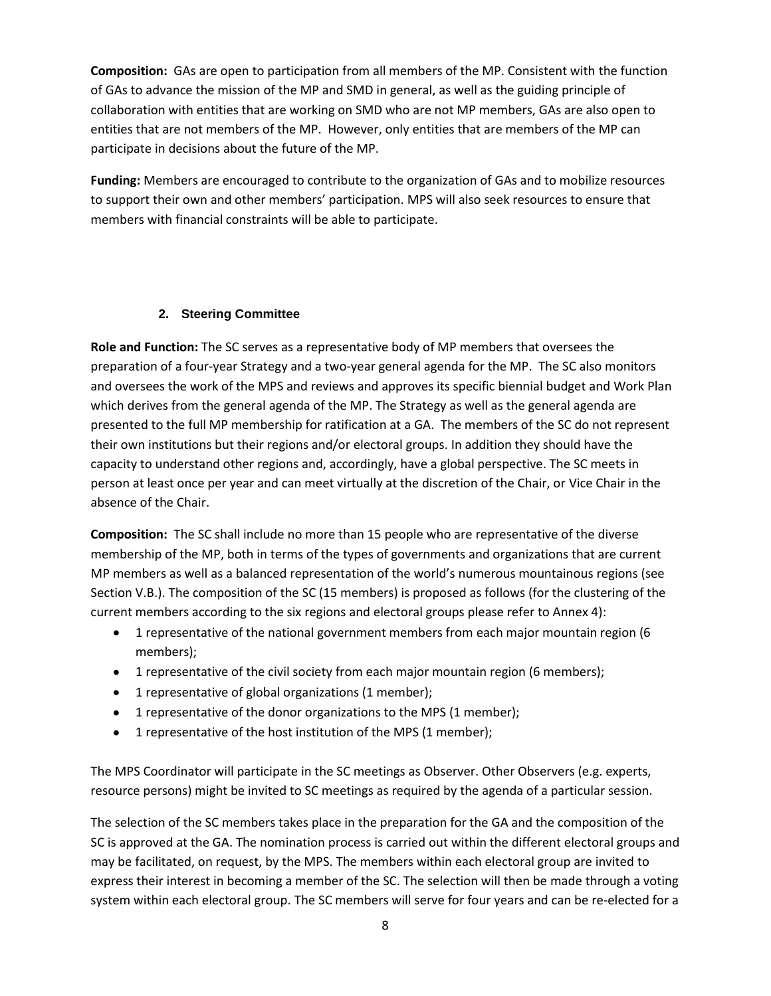**Composition:** GAs are open to participation from all members of the MP. Consistent with the function of GAs to advance the mission of the MP and SMD in general, as well as the guiding principle of collaboration with entities that are working on SMD who are not MP members, GAs are also open to entities that are not members of the MP. However, only entities that are members of the MP can participate in decisions about the future of the MP.

**Funding:** Members are encouraged to contribute to the organization of GAs and to mobilize resources to support their own and other members' participation. MPS will also seek resources to ensure that members with financial constraints will be able to participate.

### **2. Steering Committee**

**Role and Function:** The SC serves as a representative body of MP members that oversees the preparation of a four-year Strategy and a two-year general agenda for the MP. The SC also monitors and oversees the work of the MPS and reviews and approves its specific biennial budget and Work Plan which derives from the general agenda of the MP. The Strategy as well as the general agenda are presented to the full MP membership for ratification at a GA. The members of the SC do not represent their own institutions but their regions and/or electoral groups. In addition they should have the capacity to understand other regions and, accordingly, have a global perspective. The SC meets in person at least once per year and can meet virtually at the discretion of the Chair, or Vice Chair in the absence of the Chair.

**Composition:** The SC shall include no more than 15 people who are representative of the diverse membership of the MP, both in terms of the types of governments and organizations that are current MP members as well as a balanced representation of the world's numerous mountainous regions (see Section V.B.). The composition of the SC (15 members) is proposed as follows (for the clustering of the current members according to the six regions and electoral groups please refer to Annex 4):

- 1 representative of the national government members from each major mountain region (6 members);
- 1 representative of the civil society from each major mountain region (6 members);
- 1 representative of global organizations (1 member);
- 1 representative of the donor organizations to the MPS (1 member);
- 1 representative of the host institution of the MPS (1 member);

The MPS Coordinator will participate in the SC meetings as Observer. Other Observers (e.g. experts, resource persons) might be invited to SC meetings as required by the agenda of a particular session.

The selection of the SC members takes place in the preparation for the GA and the composition of the SC is approved at the GA. The nomination process is carried out within the different electoral groups and may be facilitated, on request, by the MPS. The members within each electoral group are invited to express their interest in becoming a member of the SC. The selection will then be made through a voting system within each electoral group. The SC members will serve for four years and can be re-elected for a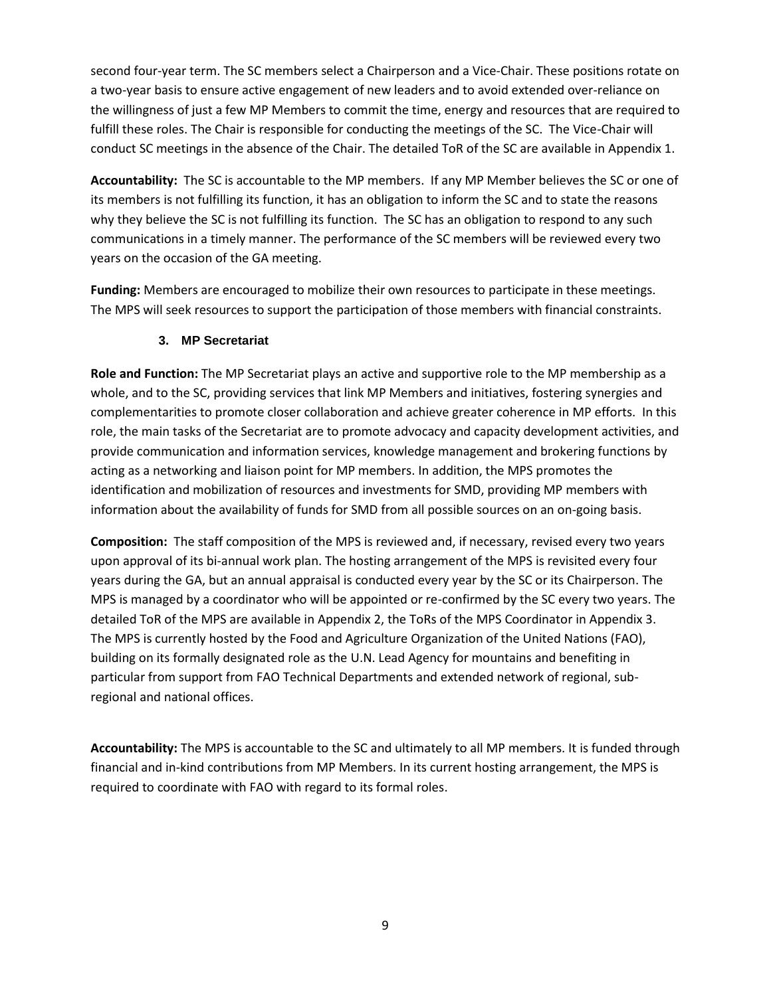second four-year term. The SC members select a Chairperson and a Vice-Chair. These positions rotate on a two-year basis to ensure active engagement of new leaders and to avoid extended over-reliance on the willingness of just a few MP Members to commit the time, energy and resources that are required to fulfill these roles. The Chair is responsible for conducting the meetings of the SC. The Vice-Chair will conduct SC meetings in the absence of the Chair. The detailed ToR of the SC are available in Appendix 1.

**Accountability:** The SC is accountable to the MP members. If any MP Member believes the SC or one of its members is not fulfilling its function, it has an obligation to inform the SC and to state the reasons why they believe the SC is not fulfilling its function. The SC has an obligation to respond to any such communications in a timely manner. The performance of the SC members will be reviewed every two years on the occasion of the GA meeting.

**Funding:** Members are encouraged to mobilize their own resources to participate in these meetings. The MPS will seek resources to support the participation of those members with financial constraints.

### **3. MP Secretariat**

**Role and Function:** The MP Secretariat plays an active and supportive role to the MP membership as a whole, and to the SC, providing services that link MP Members and initiatives, fostering synergies and complementarities to promote closer collaboration and achieve greater coherence in MP efforts. In this role, the main tasks of the Secretariat are to promote advocacy and capacity development activities, and provide communication and information services, knowledge management and brokering functions by acting as a networking and liaison point for MP members. In addition, the MPS promotes the identification and mobilization of resources and investments for SMD, providing MP members with information about the availability of funds for SMD from all possible sources on an on-going basis.

**Composition:** The staff composition of the MPS is reviewed and, if necessary, revised every two years upon approval of its bi-annual work plan. The hosting arrangement of the MPS is revisited every four years during the GA, but an annual appraisal is conducted every year by the SC or its Chairperson. The MPS is managed by a coordinator who will be appointed or re-confirmed by the SC every two years. The detailed ToR of the MPS are available in Appendix 2, the ToRs of the MPS Coordinator in Appendix 3. The MPS is currently hosted by the Food and Agriculture Organization of the United Nations (FAO), building on its formally designated role as the U.N. Lead Agency for mountains and benefiting in particular from support from FAO Technical Departments and extended network of regional, subregional and national offices.

**Accountability:** The MPS is accountable to the SC and ultimately to all MP members. It is funded through financial and in-kind contributions from MP Members. In its current hosting arrangement, the MPS is required to coordinate with FAO with regard to its formal roles.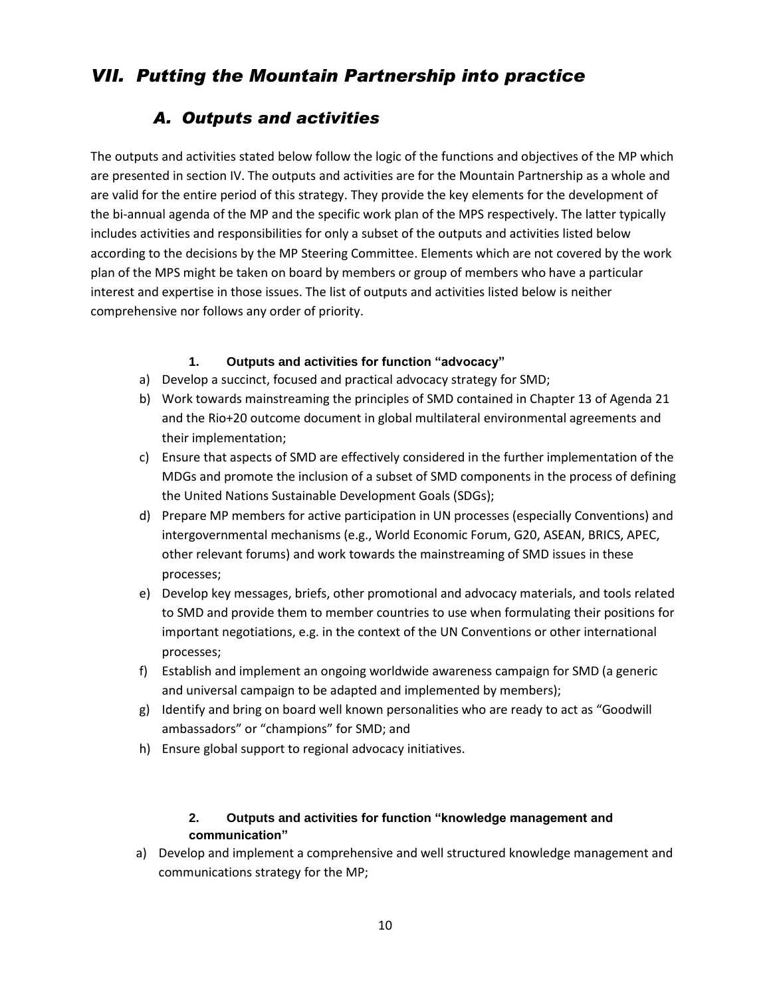# *VII. Putting the Mountain Partnership into practice*

## *A. Outputs and activities*

The outputs and activities stated below follow the logic of the functions and objectives of the MP which are presented in section IV. The outputs and activities are for the Mountain Partnership as a whole and are valid for the entire period of this strategy. They provide the key elements for the development of the bi-annual agenda of the MP and the specific work plan of the MPS respectively. The latter typically includes activities and responsibilities for only a subset of the outputs and activities listed below according to the decisions by the MP Steering Committee. Elements which are not covered by the work plan of the MPS might be taken on board by members or group of members who have a particular interest and expertise in those issues. The list of outputs and activities listed below is neither comprehensive nor follows any order of priority.

### **1. Outputs and activities for function "advocacy"**

- a) Develop a succinct, focused and practical advocacy strategy for SMD;
- b) Work towards mainstreaming the principles of SMD contained in Chapter 13 of Agenda 21 and the Rio+20 outcome document in global multilateral environmental agreements and their implementation;
- c) Ensure that aspects of SMD are effectively considered in the further implementation of the MDGs and promote the inclusion of a subset of SMD components in the process of defining the United Nations Sustainable Development Goals (SDGs);
- d) Prepare MP members for active participation in UN processes (especially Conventions) and intergovernmental mechanisms (e.g., World Economic Forum, G20, ASEAN, BRICS, APEC, other relevant forums) and work towards the mainstreaming of SMD issues in these processes;
- e) Develop key messages, briefs, other promotional and advocacy materials, and tools related to SMD and provide them to member countries to use when formulating their positions for important negotiations, e.g. in the context of the UN Conventions or other international processes;
- f) Establish and implement an ongoing worldwide awareness campaign for SMD (a generic and universal campaign to be adapted and implemented by members);
- g) Identify and bring on board well known personalities who are ready to act as "Goodwill ambassadors" or "champions" for SMD; and
- h) Ensure global support to regional advocacy initiatives.

### **2. Outputs and activities for function "knowledge management and communication"**

a) Develop and implement a comprehensive and well structured knowledge management and communications strategy for the MP;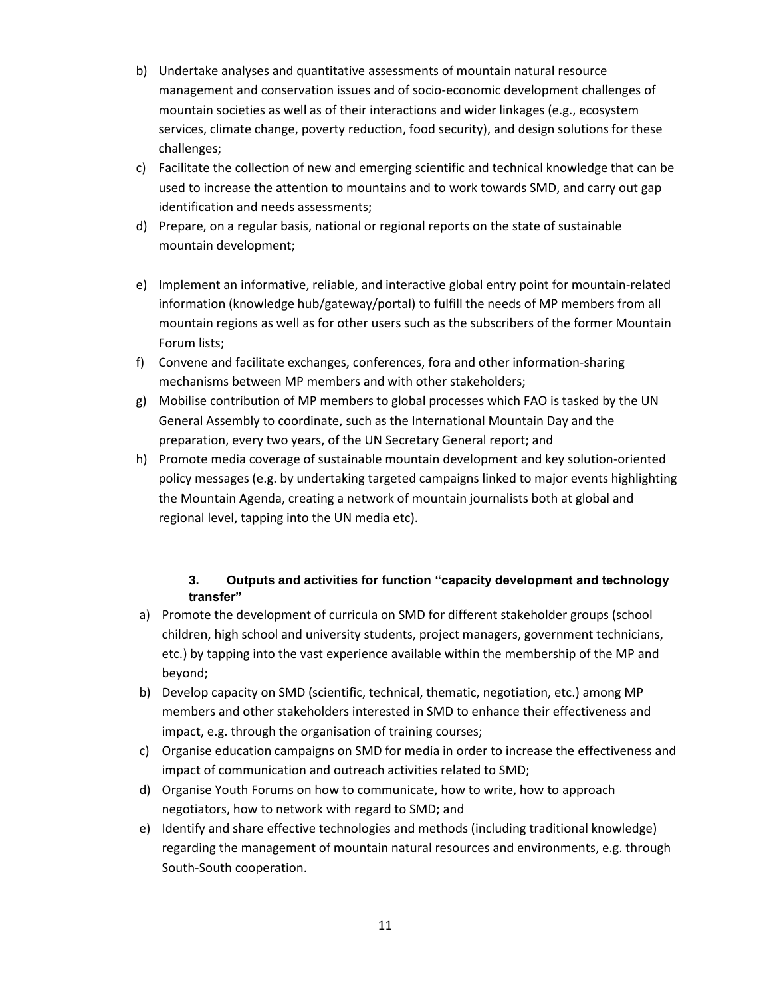- b) Undertake analyses and quantitative assessments of mountain natural resource management and conservation issues and of socio-economic development challenges of mountain societies as well as of their interactions and wider linkages (e.g., ecosystem services, climate change, poverty reduction, food security), and design solutions for these challenges;
- c) Facilitate the collection of new and emerging scientific and technical knowledge that can be used to increase the attention to mountains and to work towards SMD, and carry out gap identification and needs assessments;
- d) Prepare, on a regular basis, national or regional reports on the state of sustainable mountain development;
- e) Implement an informative, reliable, and interactive global entry point for mountain-related information (knowledge hub/gateway/portal) to fulfill the needs of MP members from all mountain regions as well as for other users such as the subscribers of the former Mountain Forum lists;
- f) Convene and facilitate exchanges, conferences, fora and other information-sharing mechanisms between MP members and with other stakeholders;
- g) Mobilise contribution of MP members to global processes which FAO is tasked by the UN General Assembly to coordinate, such as the International Mountain Day and the preparation, every two years, of the UN Secretary General report; and
- h) Promote media coverage of sustainable mountain development and key solution-oriented policy messages (e.g. by undertaking targeted campaigns linked to major events highlighting the Mountain Agenda, creating a network of mountain journalists both at global and regional level, tapping into the UN media etc).

### **3. Outputs and activities for function "capacity development and technology transfer"**

- a) Promote the development of curricula on SMD for different stakeholder groups (school children, high school and university students, project managers, government technicians, etc.) by tapping into the vast experience available within the membership of the MP and beyond;
- b) Develop capacity on SMD (scientific, technical, thematic, negotiation, etc.) among MP members and other stakeholders interested in SMD to enhance their effectiveness and impact, e.g. through the organisation of training courses;
- c) Organise education campaigns on SMD for media in order to increase the effectiveness and impact of communication and outreach activities related to SMD;
- d) Organise Youth Forums on how to communicate, how to write, how to approach negotiators, how to network with regard to SMD; and
- e) Identify and share effective technologies and methods (including traditional knowledge) regarding the management of mountain natural resources and environments, e.g. through South-South cooperation.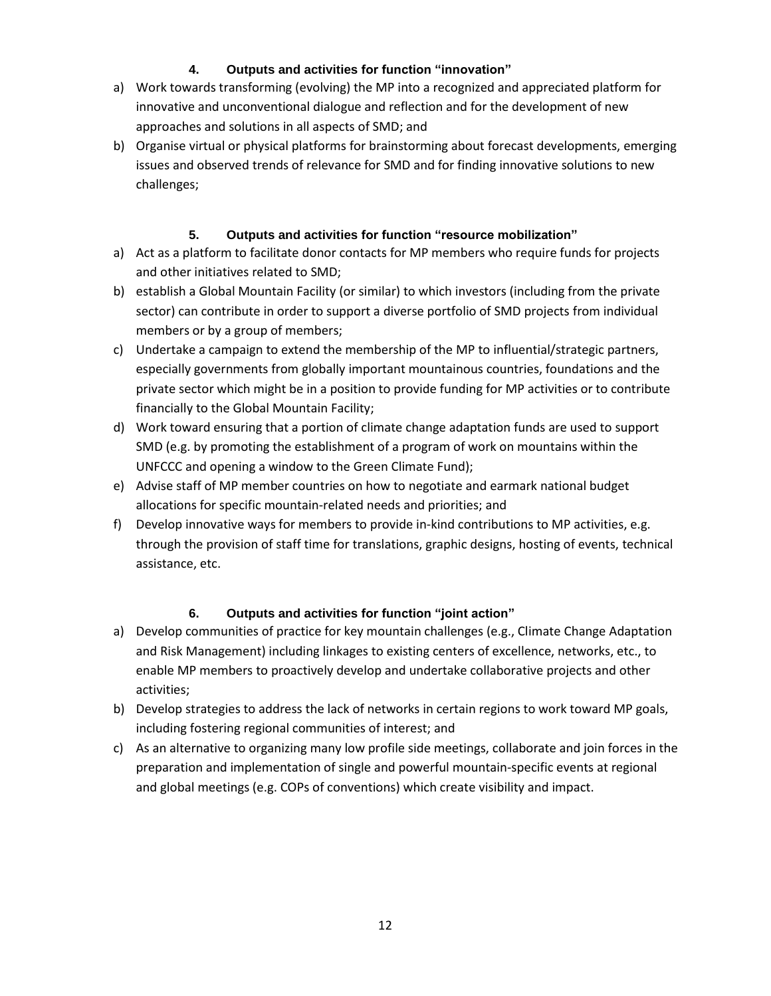### **4. Outputs and activities for function "innovation"**

- a) Work towards transforming (evolving) the MP into a recognized and appreciated platform for innovative and unconventional dialogue and reflection and for the development of new approaches and solutions in all aspects of SMD; and
- b) Organise virtual or physical platforms for brainstorming about forecast developments, emerging issues and observed trends of relevance for SMD and for finding innovative solutions to new challenges;

### **5. Outputs and activities for function "resource mobilization"**

- a) Act as a platform to facilitate donor contacts for MP members who require funds for projects and other initiatives related to SMD;
- b) establish a Global Mountain Facility (or similar) to which investors (including from the private sector) can contribute in order to support a diverse portfolio of SMD projects from individual members or by a group of members;
- c) Undertake a campaign to extend the membership of the MP to influential/strategic partners, especially governments from globally important mountainous countries, foundations and the private sector which might be in a position to provide funding for MP activities or to contribute financially to the Global Mountain Facility;
- d) Work toward ensuring that a portion of climate change adaptation funds are used to support SMD (e.g. by promoting the establishment of a program of work on mountains within the UNFCCC and opening a window to the Green Climate Fund);
- e) Advise staff of MP member countries on how to negotiate and earmark national budget allocations for specific mountain-related needs and priorities; and
- f) Develop innovative ways for members to provide in-kind contributions to MP activities, e.g. through the provision of staff time for translations, graphic designs, hosting of events, technical assistance, etc.

### **6. Outputs and activities for function "joint action"**

- a) Develop communities of practice for key mountain challenges (e.g., Climate Change Adaptation and Risk Management) including linkages to existing centers of excellence, networks, etc., to enable MP members to proactively develop and undertake collaborative projects and other activities;
- b) Develop strategies to address the lack of networks in certain regions to work toward MP goals, including fostering regional communities of interest; and
- c) As an alternative to organizing many low profile side meetings, collaborate and join forces in the preparation and implementation of single and powerful mountain-specific events at regional and global meetings (e.g. COPs of conventions) which create visibility and impact.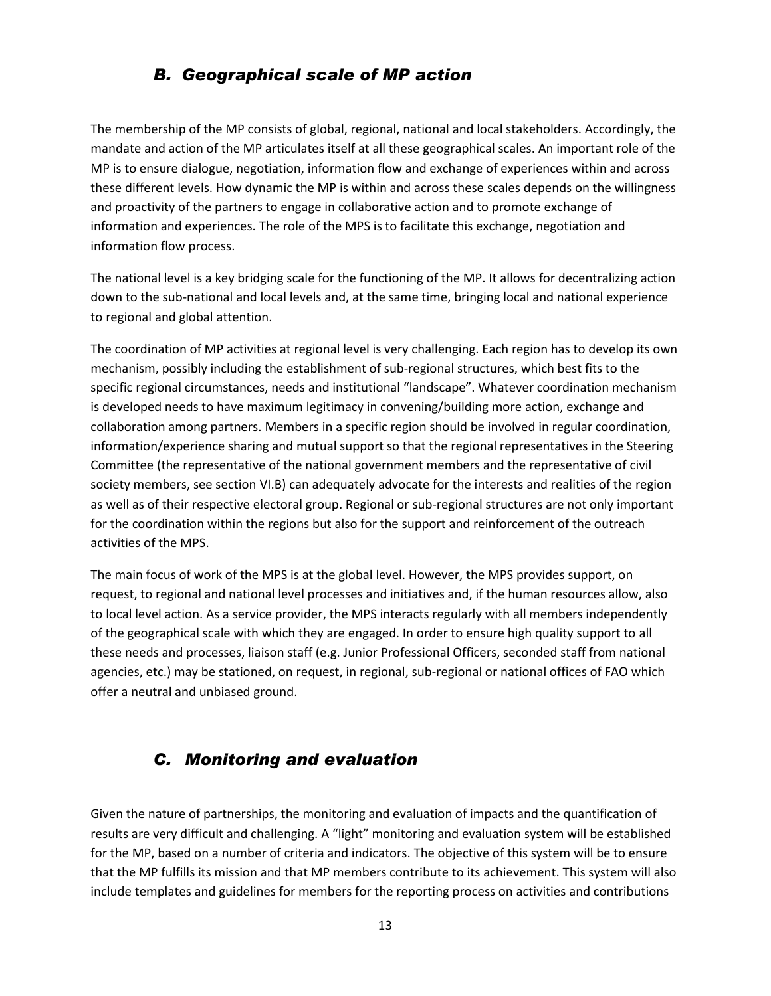### *B. Geographical scale of MP action*

The membership of the MP consists of global, regional, national and local stakeholders. Accordingly, the mandate and action of the MP articulates itself at all these geographical scales. An important role of the MP is to ensure dialogue, negotiation, information flow and exchange of experiences within and across these different levels. How dynamic the MP is within and across these scales depends on the willingness and proactivity of the partners to engage in collaborative action and to promote exchange of information and experiences. The role of the MPS is to facilitate this exchange, negotiation and information flow process.

The national level is a key bridging scale for the functioning of the MP. It allows for decentralizing action down to the sub-national and local levels and, at the same time, bringing local and national experience to regional and global attention.

The coordination of MP activities at regional level is very challenging. Each region has to develop its own mechanism, possibly including the establishment of sub-regional structures, which best fits to the specific regional circumstances, needs and institutional "landscape". Whatever coordination mechanism is developed needs to have maximum legitimacy in convening/building more action, exchange and collaboration among partners. Members in a specific region should be involved in regular coordination, information/experience sharing and mutual support so that the regional representatives in the Steering Committee (the representative of the national government members and the representative of civil society members, see section VI.B) can adequately advocate for the interests and realities of the region as well as of their respective electoral group. Regional or sub-regional structures are not only important for the coordination within the regions but also for the support and reinforcement of the outreach activities of the MPS.

The main focus of work of the MPS is at the global level. However, the MPS provides support, on request, to regional and national level processes and initiatives and, if the human resources allow, also to local level action. As a service provider, the MPS interacts regularly with all members independently of the geographical scale with which they are engaged. In order to ensure high quality support to all these needs and processes, liaison staff (e.g. Junior Professional Officers, seconded staff from national agencies, etc.) may be stationed, on request, in regional, sub-regional or national offices of FAO which offer a neutral and unbiased ground.

### *C. Monitoring and evaluation*

Given the nature of partnerships, the monitoring and evaluation of impacts and the quantification of results are very difficult and challenging. A "light" monitoring and evaluation system will be established for the MP, based on a number of criteria and indicators. The objective of this system will be to ensure that the MP fulfills its mission and that MP members contribute to its achievement. This system will also include templates and guidelines for members for the reporting process on activities and contributions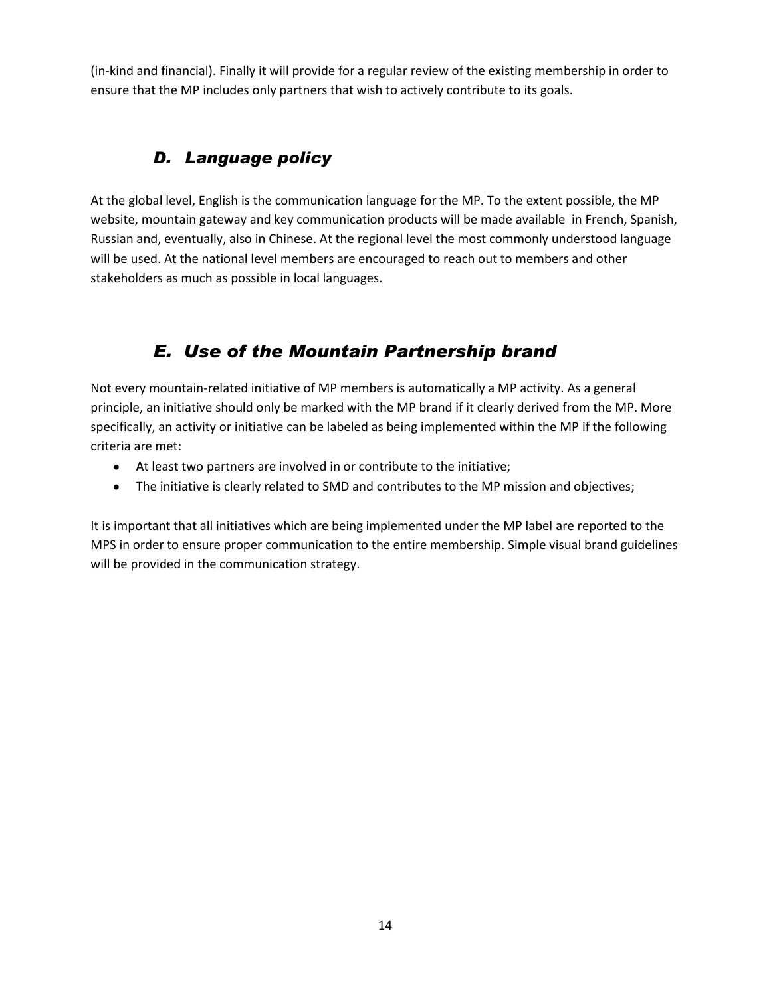(in-kind and financial). Finally it will provide for a regular review of the existing membership in order to ensure that the MP includes only partners that wish to actively contribute to its goals.

## *D. Language policy*

At the global level, English is the communication language for the MP. To the extent possible, the MP website, mountain gateway and key communication products will be made available in French, Spanish, Russian and, eventually, also in Chinese. At the regional level the most commonly understood language will be used. At the national level members are encouraged to reach out to members and other stakeholders as much as possible in local languages.

# *E. Use of the Mountain Partnership brand*

Not every mountain-related initiative of MP members is automatically a MP activity. As a general principle, an initiative should only be marked with the MP brand if it clearly derived from the MP. More specifically, an activity or initiative can be labeled as being implemented within the MP if the following criteria are met:

- At least two partners are involved in or contribute to the initiative;
- The initiative is clearly related to SMD and contributes to the MP mission and objectives;

It is important that all initiatives which are being implemented under the MP label are reported to the MPS in order to ensure proper communication to the entire membership. Simple visual brand guidelines will be provided in the communication strategy.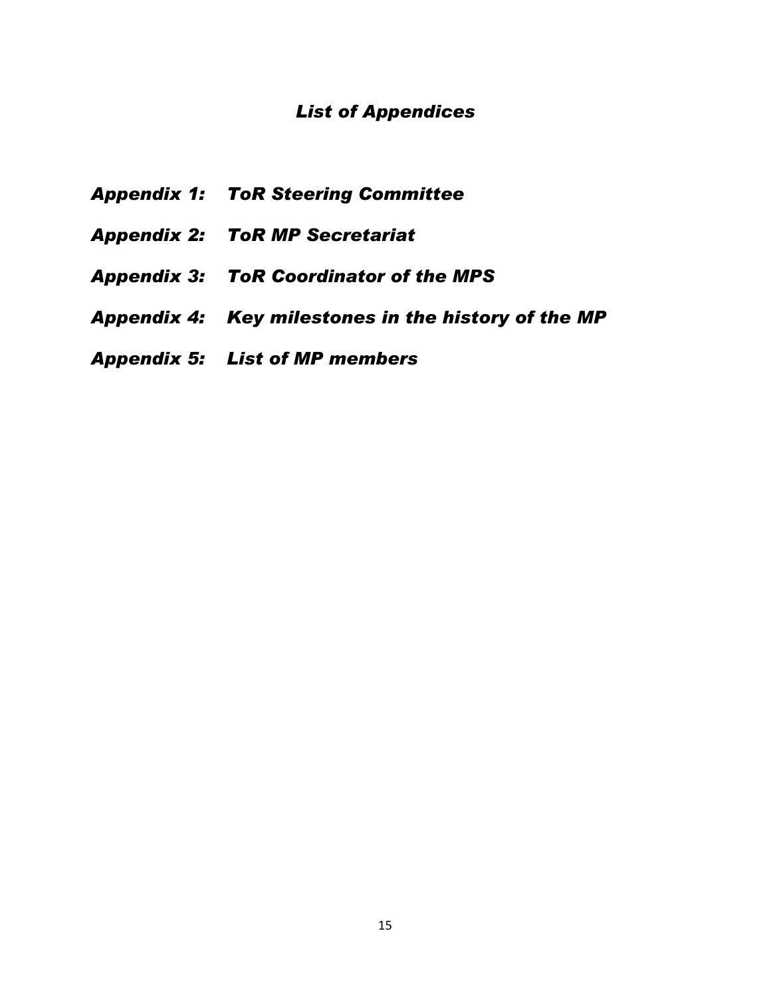## *List of Appendices*

- *Appendix 1: ToR Steering Committee*
- *Appendix 2: ToR MP Secretariat*
- *Appendix 3: ToR Coordinator of the MPS*
- *Appendix 4: Key milestones in the history of the MP*
- *Appendix 5: List of MP members*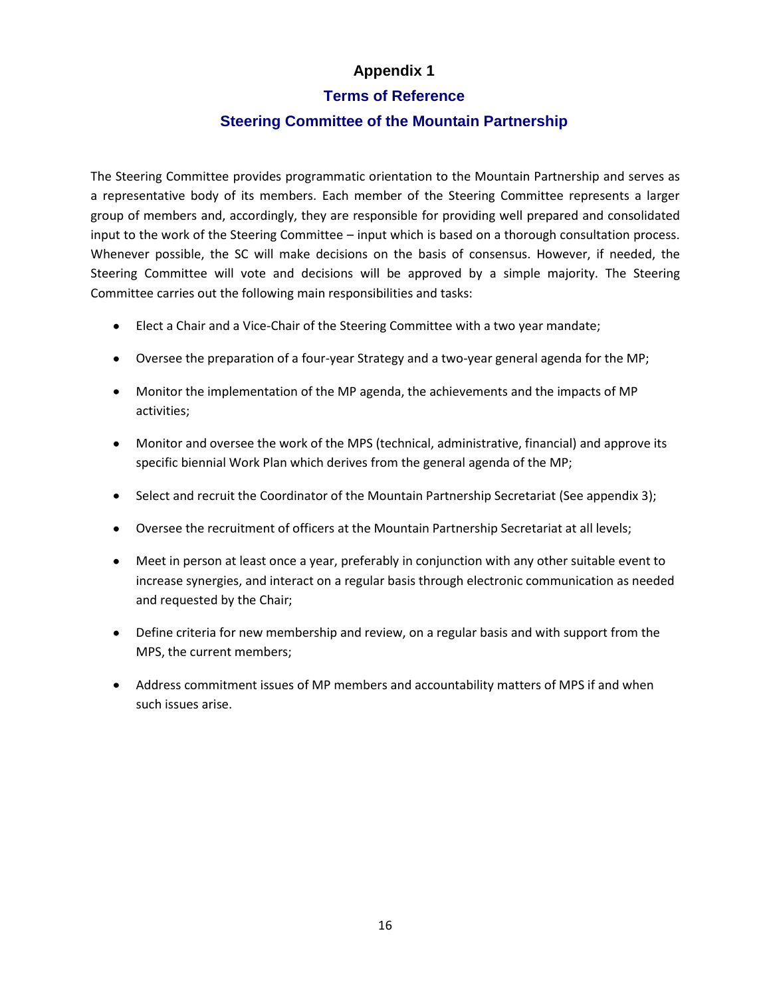### **Terms of Reference**

### **Steering Committee of the Mountain Partnership**

The Steering Committee provides programmatic orientation to the Mountain Partnership and serves as a representative body of its members. Each member of the Steering Committee represents a larger group of members and, accordingly, they are responsible for providing well prepared and consolidated input to the work of the Steering Committee – input which is based on a thorough consultation process. Whenever possible, the SC will make decisions on the basis of consensus. However, if needed, the Steering Committee will vote and decisions will be approved by a simple majority. The Steering Committee carries out the following main responsibilities and tasks:

- Elect a Chair and a Vice-Chair of the Steering Committee with a two year mandate;
- Oversee the preparation of a four-year Strategy and a two-year general agenda for the MP;
- Monitor the implementation of the MP agenda, the achievements and the impacts of MP activities;
- Monitor and oversee the work of the MPS (technical, administrative, financial) and approve its specific biennial Work Plan which derives from the general agenda of the MP;
- Select and recruit the Coordinator of the Mountain Partnership Secretariat (See appendix 3);
- Oversee the recruitment of officers at the Mountain Partnership Secretariat at all levels;
- Meet in person at least once a year, preferably in conjunction with any other suitable event to increase synergies, and interact on a regular basis through electronic communication as needed and requested by the Chair;
- Define criteria for new membership and review, on a regular basis and with support from the MPS, the current members;
- Address commitment issues of MP members and accountability matters of MPS if and when such issues arise.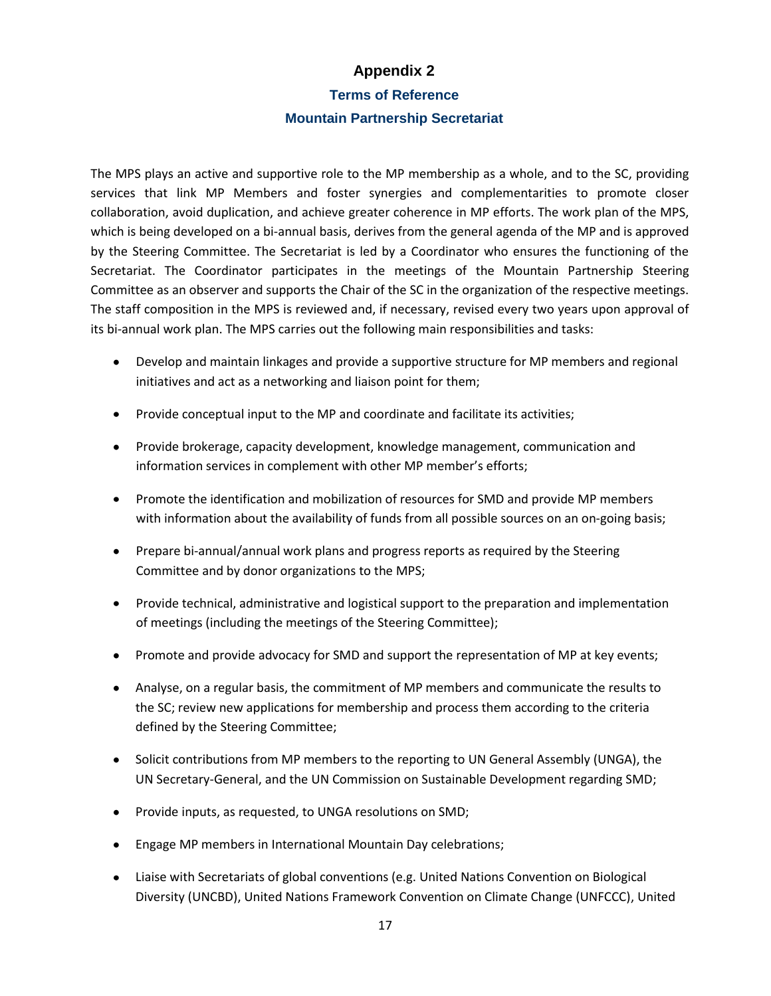**Terms of Reference** 

#### **Mountain Partnership Secretariat**

The MPS plays an active and supportive role to the MP membership as a whole, and to the SC, providing services that link MP Members and foster synergies and complementarities to promote closer collaboration, avoid duplication, and achieve greater coherence in MP efforts. The work plan of the MPS, which is being developed on a bi-annual basis, derives from the general agenda of the MP and is approved by the Steering Committee. The Secretariat is led by a Coordinator who ensures the functioning of the Secretariat. The Coordinator participates in the meetings of the Mountain Partnership Steering Committee as an observer and supports the Chair of the SC in the organization of the respective meetings. The staff composition in the MPS is reviewed and, if necessary, revised every two years upon approval of its bi-annual work plan. The MPS carries out the following main responsibilities and tasks:

- Develop and maintain linkages and provide a supportive structure for MP members and regional initiatives and act as a networking and liaison point for them;
- Provide conceptual input to the MP and coordinate and facilitate its activities;
- Provide brokerage, capacity development, knowledge management, communication and information services in complement with other MP member's efforts;
- Promote the identification and mobilization of resources for SMD and provide MP members with information about the availability of funds from all possible sources on an on-going basis;
- Prepare bi-annual/annual work plans and progress reports as required by the Steering Committee and by donor organizations to the MPS;
- Provide technical, administrative and logistical support to the preparation and implementation of meetings (including the meetings of the Steering Committee);
- Promote and provide advocacy for SMD and support the representation of MP at key events;
- Analyse, on a regular basis, the commitment of MP members and communicate the results to the SC; review new applications for membership and process them according to the criteria defined by the Steering Committee;
- Solicit contributions from MP members to the reporting to UN General Assembly (UNGA), the UN Secretary-General, and the UN Commission on Sustainable Development regarding SMD;
- Provide inputs, as requested, to UNGA resolutions on SMD;
- Engage MP members in International Mountain Day celebrations;
- Liaise with Secretariats of global conventions (e.g. United Nations Convention on Biological Diversity (UNCBD), United Nations Framework Convention on Climate Change (UNFCCC), United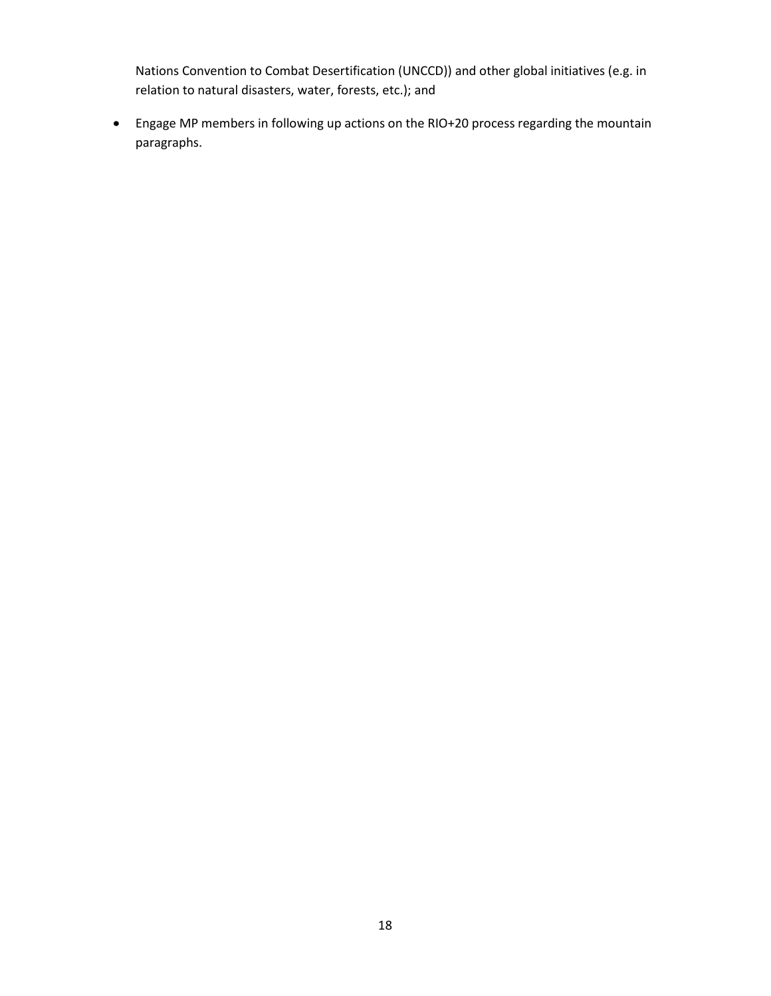Nations Convention to Combat Desertification (UNCCD)) and other global initiatives (e.g. in relation to natural disasters, water, forests, etc.); and

Engage MP members in following up actions on the RIO+20 process regarding the mountain paragraphs.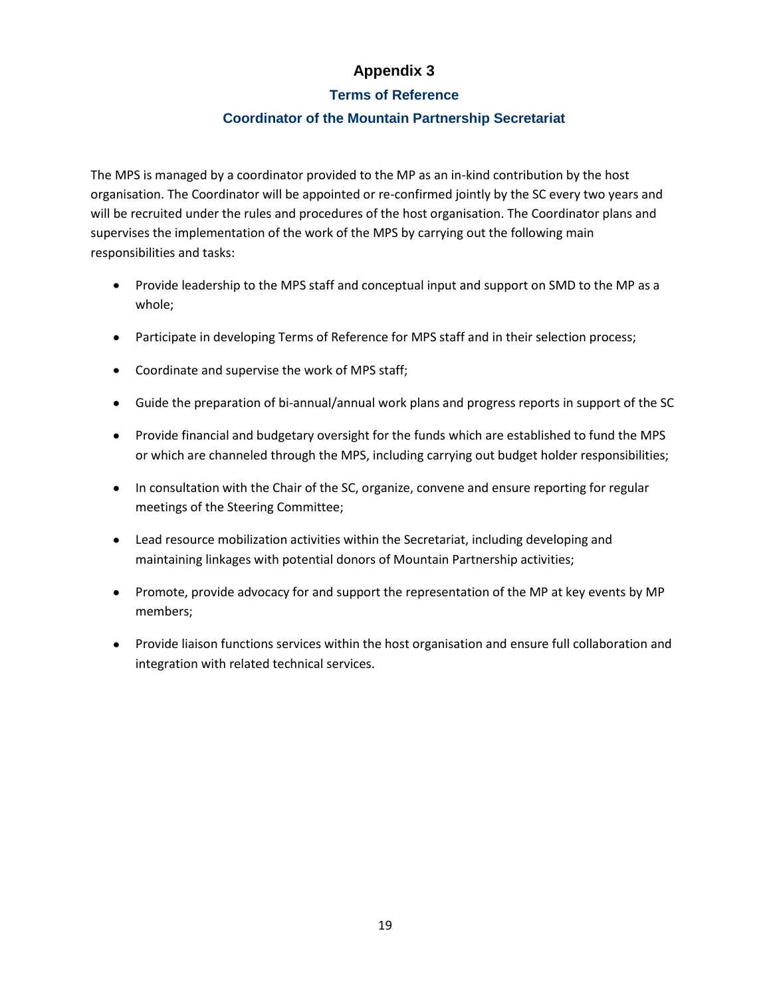### **Terms of Reference**

### **Coordinator of the Mountain Partnership Secretariat**

The MPS is managed by a coordinator provided to the MP as an in-kind contribution by the host organisation. The Coordinator will be appointed or re-confirmed jointly by the SC every two years and will be recruited under the rules and procedures of the host organisation. The Coordinator plans and supervises the implementation of the work of the MPS by carrying out the following main responsibilities and tasks:

- Provide leadership to the MPS staff and conceptual input and support on SMD to the MP as a whole;
- Participate in developing Terms of Reference for MPS staff and in their selection process;
- Coordinate and supervise the work of MPS staff;
- Guide the preparation of bi-annual/annual work plans and progress reports in support of the SC
- Provide financial and budgetary oversight for the funds which are established to fund the MPS or which are channeled through the MPS, including carrying out budget holder responsibilities;
- In consultation with the Chair of the SC, organize, convene and ensure reporting for regular meetings of the Steering Committee;
- Lead resource mobilization activities within the Secretariat, including developing and maintaining linkages with potential donors of Mountain Partnership activities;
- Promote, provide advocacy for and support the representation of the MP at key events by MP members;
- Provide liaison functions services within the host organisation and ensure full collaboration and integration with related technical services.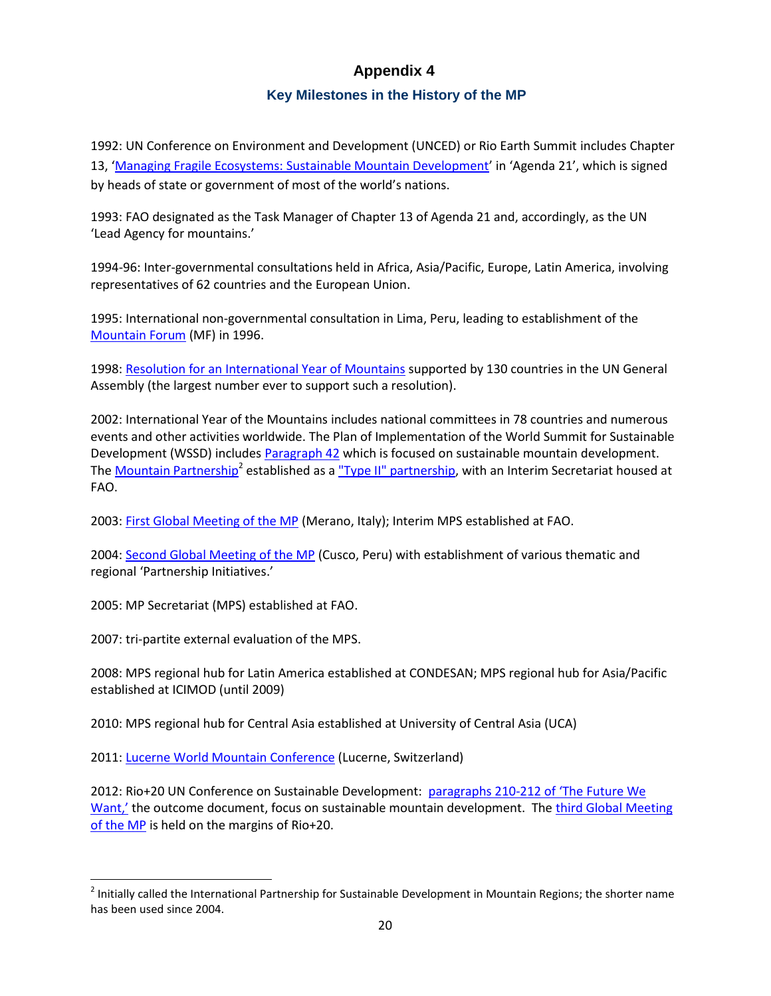### **Key Milestones in the History of the MP**

1992: UN Conference on Environment and Development (UNCED) or Rio Earth Summit includes Chapter 13, '[Managing Fragile Ecosystems: Sustainable Mountain Development](http://www.mountainpartnership.org/publications/publication-detail/en/c/161503/)' in 'Agenda 21', which is signed by heads of state or government of most of the world's nations.

1993: FAO designated as the Task Manager of Chapter 13 of Agenda 21 and, accordingly, as the UN 'Lead Agency for mountains.'

1994-96: Inter-governmental consultations held in Africa, Asia/Pacific, Europe, Latin America, involving representatives of 62 countries and the European Union.

1995: International non-governmental consultation in Lima, Peru, leading to establishment of the [Mountain Forum](http://www.mtnforum.org/) (MF) in 1996.

1998[: Resolution for an International Year of Mountains](http://mountainlex.alpconv.org/images/documents/international/A_RES_53_24.pdf) supported by 130 countries in the UN General Assembly (the largest number ever to support such a resolution).

2002: International Year of the Mountains includes national committees in 78 countries and numerous events and other activities worldwide. The Plan of Implementation of the World Summit for Sustainable Development (WSSD) includes [Paragraph 42](http://mountainlex.alpconv.org/images/documents/international/paragraph_42.pdf) which is focused on sustainable mountain development. The <u>Mountain Partnership</u><sup>2</sup> established as a <u>"Type II" partnership</u>, with an Interim Secretariat housed at FAO.

2003[: First Global Meeting of the MP](http://www.mountainpartnership.org/publications/publication-detail/en/c/161484/) (Merano, Italy); Interim MPS established at FAO.

2004[: Second Global Meeting of the MP](http://www.mountainpartnership.org/about/secondglobalmeeting/en/) (Cusco, Peru) with establishment of various thematic and regional 'Partnership Initiatives.'

2005: MP Secretariat (MPS) established at FAO.

2007: tri-partite external evaluation of the MPS.

 $\overline{\phantom{a}}$ 

2008: MPS regional hub for Latin America established at CONDESAN; MPS regional hub for Asia/Pacific established at ICIMOD (until 2009)

2010: MPS regional hub for Central Asia established at University of Central Asia (UCA)

2011[: Lucerne World Mountain Conference](http://mountainslucerne2011.mtnforum.org/) (Lucerne, Switzerland)

2012: Rio+20 UN Conference on Sustainable Development: [paragraphs 210-212 of](http://www.mountainpartnership.org/publications/publication-detail/en/c/161497/) 'The Future We [Want,'](http://www.mountainpartnership.org/publications/publication-detail/en/c/161497/) the outcome document, focus on sustainable mountain development. The third Global Meeting [of the MP](http://www.mountainpartnership.org/about/thirdglobalmeeting/en/) is held on the margins of Rio+20.

 $^2$  Initially called the International Partnership for Sustainable Development in Mountain Regions; the shorter name has been used since 2004.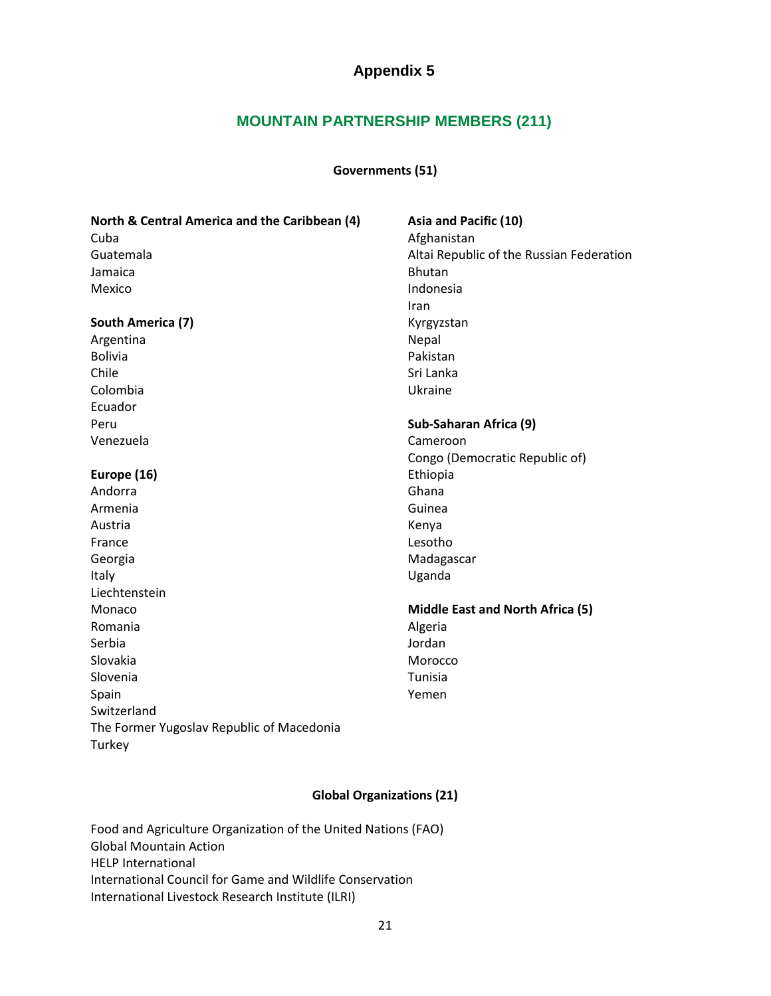### **MOUNTAIN PARTNERSHIP MEMBERS (211)**

#### **Governments (51)**

| North & Central America and the Caribbean (4) | Asia and Pacific (10)                    |
|-----------------------------------------------|------------------------------------------|
| Cuba                                          | Afghanistan                              |
| Guatemala                                     | Altai Republic of the Russian Federation |
| Jamaica                                       | <b>Bhutan</b>                            |
| Mexico                                        | Indonesia                                |
|                                               | Iran                                     |
| South America (7)                             | Kyrgyzstan                               |
| Argentina                                     | Nepal                                    |
| <b>Bolivia</b>                                | Pakistan                                 |
| Chile                                         | Sri Lanka                                |
| Colombia                                      | Ukraine                                  |
| Ecuador                                       |                                          |
| Peru                                          | Sub-Saharan Africa (9)                   |
| Venezuela                                     | Cameroon                                 |
|                                               | Congo (Democratic Republic of)           |
| Europe (16)                                   | Ethiopia                                 |
| Andorra                                       | Ghana                                    |
| Armenia                                       | Guinea                                   |
| Austria                                       | Kenya                                    |
| France                                        | Lesotho                                  |
| Georgia                                       | Madagascar                               |
| Italy                                         | Uganda                                   |
| Liechtenstein                                 |                                          |
| Monaco                                        | <b>Middle East and North Africa (5)</b>  |
| Romania                                       | Algeria                                  |
| Serbia                                        | Jordan                                   |
| Slovakia                                      | Morocco                                  |
| Slovenia                                      | Tunisia                                  |
| Spain                                         | Yemen                                    |
| Switzerland                                   |                                          |
| The Former Yugoslav Republic of Macedonia     |                                          |
| Turkey                                        |                                          |

#### **Global Organizations (21)**

Food and Agriculture Organization of the United Nations (FAO) Global Mountain Action HELP International International Council for Game and Wildlife Conservation International Livestock Research Institute (ILRI)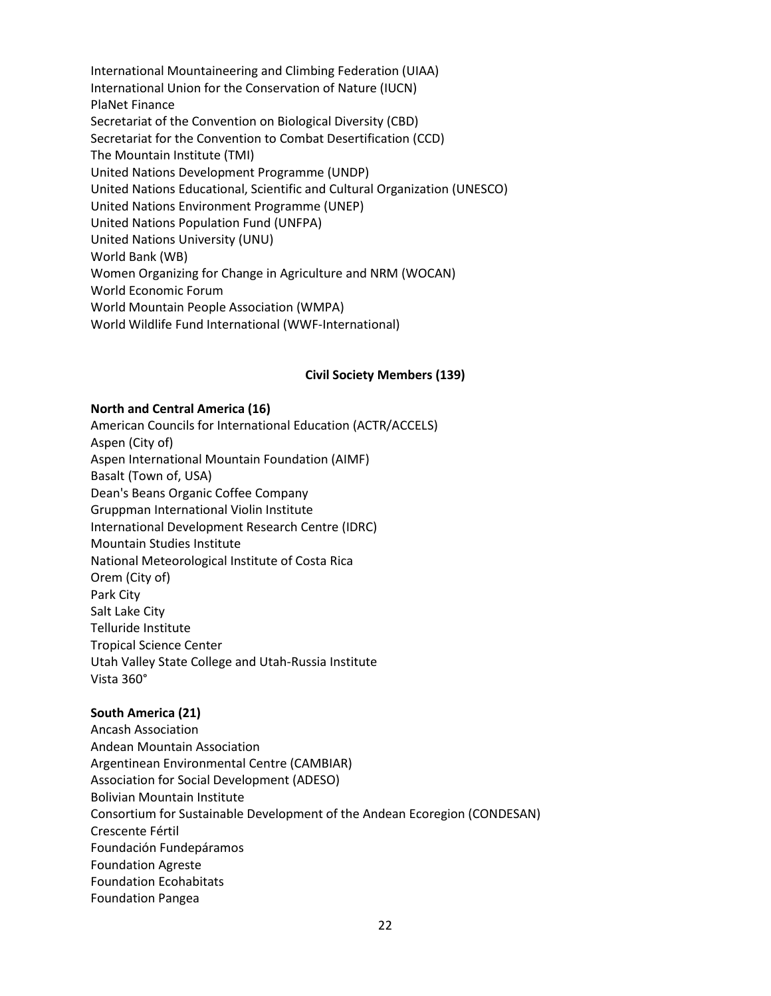International Mountaineering and Climbing Federation (UIAA) International Union for the Conservation of Nature (IUCN) PlaNet Finance Secretariat of the Convention on Biological Diversity (CBD) Secretariat for the Convention to Combat Desertification (CCD) The Mountain Institute (TMI) United Nations Development Programme (UNDP) United Nations Educational, Scientific and Cultural Organization (UNESCO) United Nations Environment Programme (UNEP) United Nations Population Fund (UNFPA) United Nations University (UNU) World Bank (WB) Women Organizing for Change in Agriculture and NRM (WOCAN) World Economic Forum World Mountain People Association (WMPA) World Wildlife Fund International (WWF-International)

#### **Civil Society Members (139)**

#### **North and Central America (16)**

American Councils for International Education (ACTR/ACCELS) Aspen (City of) Aspen International Mountain Foundation (AIMF) Basalt (Town of, USA) Dean's Beans Organic Coffee Company Gruppman International Violin Institute International Development Research Centre (IDRC) Mountain Studies Institute National Meteorological Institute of Costa Rica Orem (City of) Park City Salt Lake City Telluride Institute Tropical Science Center Utah Valley State College and Utah-Russia Institute Vista 360°

#### **South America (21)**

Ancash Association Andean Mountain Association Argentinean Environmental Centre (CAMBIAR) Association for Social Development (ADESO) Bolivian Mountain Institute Consortium for Sustainable Development of the Andean Ecoregion (CONDESAN) Crescente Fértil Foundación Fundepáramos Foundation Agreste Foundation Ecohabitats Foundation Pangea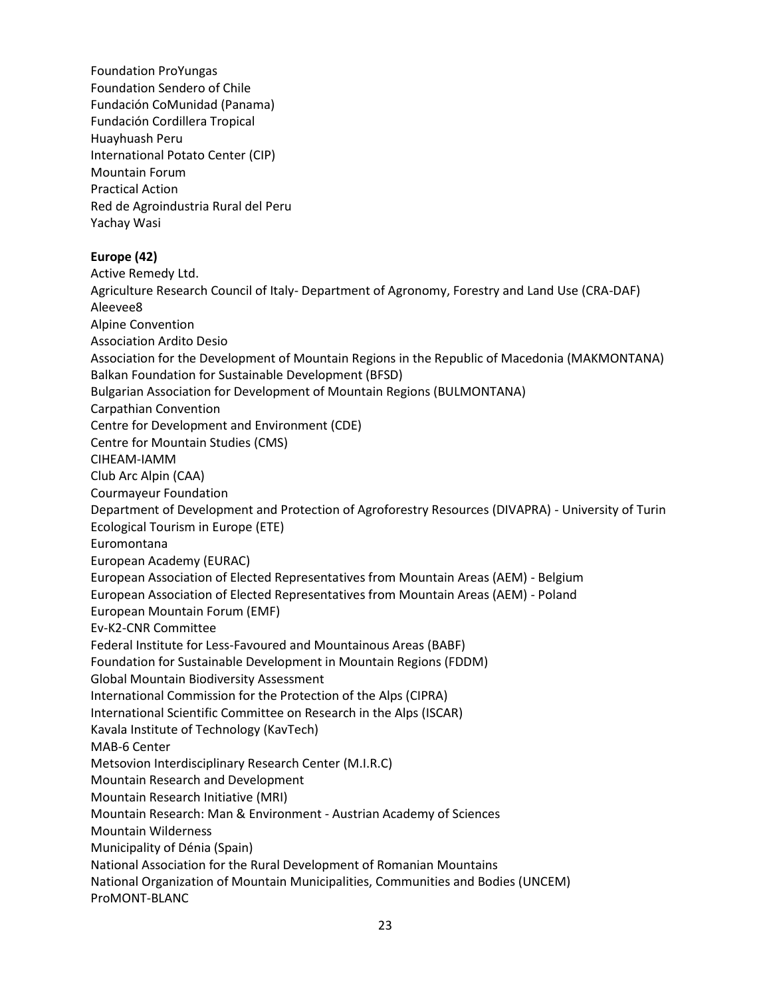Foundation ProYungas Foundation Sendero of Chile Fundación CoMunidad (Panama) Fundación Cordillera Tropical Huayhuash Peru International Potato Center (CIP) Mountain Forum Practical Action Red de Agroindustria Rural del Peru Yachay Wasi **Europe (42)** Active Remedy Ltd. Agriculture Research Council of Italy- Department of Agronomy, Forestry and Land Use (CRA-DAF) Aleevee8 Alpine Convention Association Ardito Desio Association for the Development of Mountain Regions in the Republic of Macedonia (MAKMONTANA) Balkan Foundation for Sustainable Development (BFSD) Bulgarian Association for Development of Mountain Regions (BULMONTANA) Carpathian Convention Centre for Development and Environment (CDE) Centre for Mountain Studies (CMS) CIHEAM-IAMM Club Arc Alpin (CAA) Courmayeur Foundation Department of Development and Protection of Agroforestry Resources (DIVAPRA) - University of Turin Ecological Tourism in Europe (ETE) Euromontana European Academy (EURAC) European Association of Elected Representatives from Mountain Areas (AEM) - Belgium European Association of Elected Representatives from Mountain Areas (AEM) - Poland European Mountain Forum (EMF) Ev-K2-CNR Committee Federal Institute for Less-Favoured and Mountainous Areas (BABF) Foundation for Sustainable Development in Mountain Regions (FDDM) Global Mountain Biodiversity Assessment International Commission for the Protection of the Alps (CIPRA) International Scientific Committee on Research in the Alps (ISCAR) Kavala Institute of Technology (KavTech) MAB-6 Center Metsovion Interdisciplinary Research Center (M.I.R.C) Mountain Research and Development Mountain Research Initiative (MRI) Mountain Research: Man & Environment - Austrian Academy of Sciences Mountain Wilderness Municipality of Dénia (Spain) National Association for the Rural Development of Romanian Mountains National Organization of Mountain Municipalities, Communities and Bodies (UNCEM) ProMONT-BLANC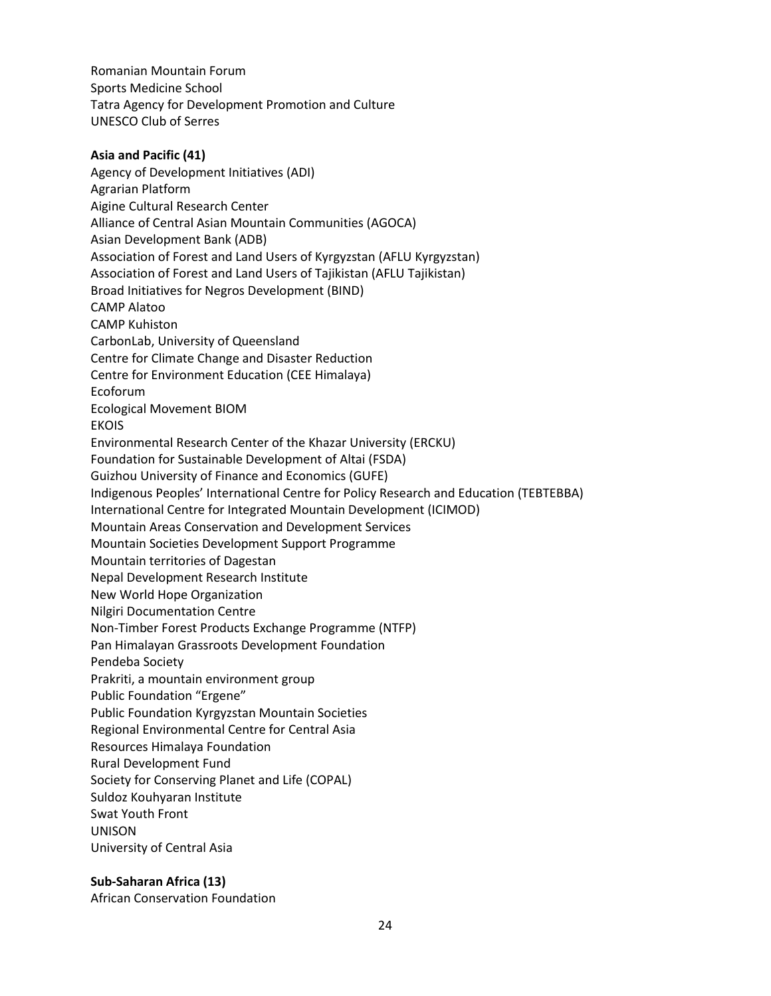Romanian Mountain Forum Sports Medicine School Tatra Agency for Development Promotion and Culture UNESCO Club of Serres

### **Asia and Pacific (41)** Agency of Development Initiatives (ADI) Agrarian Platform Aigine Cultural Research Center Alliance of Central Asian Mountain Communities (AGOCA) Asian Development Bank (ADB) Association of Forest and Land Users of Kyrgyzstan (AFLU Kyrgyzstan) Association of Forest and Land Users of Tajikistan (AFLU Tajikistan) Broad Initiatives for Negros Development (BIND) CAMP Alatoo CAMP Kuhiston CarbonLab, University of Queensland Centre for Climate Change and Disaster Reduction Centre for Environment Education (CEE Himalaya) Ecoforum Ecological Movement BIOM EKOIS Environmental Research Center of the Khazar University (ERCKU) Foundation for Sustainable Development of Altai (FSDA) Guizhou University of Finance and Economics (GUFE) Indigenous Peoples' International Centre for Policy Research and Education (TEBTEBBA) International Centre for Integrated Mountain Development (ICIMOD) Mountain Areas Conservation and Development Services Mountain Societies Development Support Programme Mountain territories of Dagestan Nepal Development Research Institute New World Hope Organization Nilgiri Documentation Centre Non-Timber Forest Products Exchange Programme (NTFP) Pan Himalayan Grassroots Development Foundation Pendeba Society Prakriti, a mountain environment group Public Foundation "Ergene" Public Foundation Kyrgyzstan Mountain Societies Regional Environmental Centre for Central Asia Resources Himalaya Foundation Rural Development Fund Society for Conserving Planet and Life (COPAL) Suldoz Kouhyaran Institute Swat Youth Front UNISON University of Central Asia

#### **Sub-Saharan Africa (13)**

African Conservation Foundation